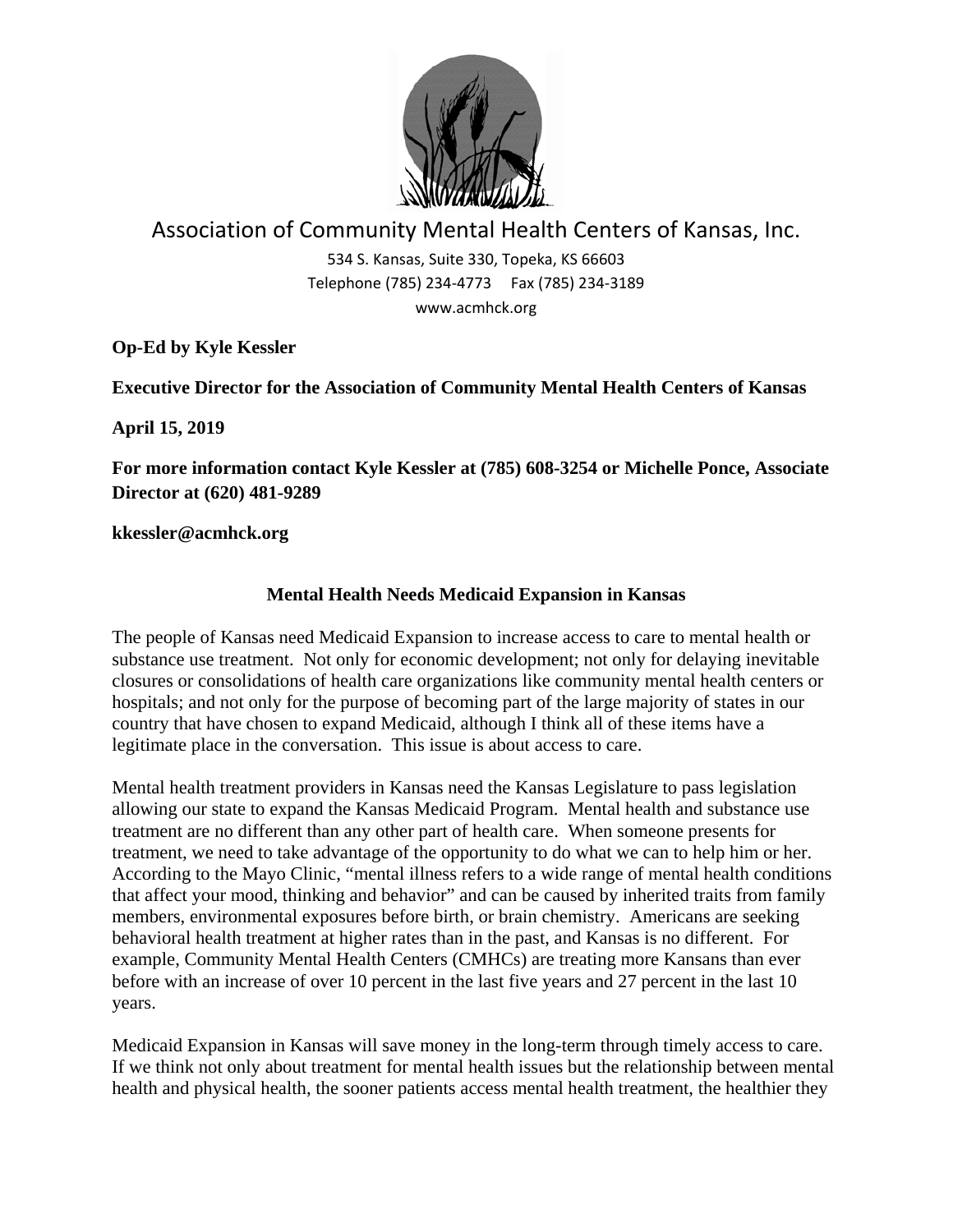

## Association of Community Mental Health Centers of Kansas, Inc.

534 S. Kansas, Suite 330, Topeka, KS 66603 Telephone (785) 234‐4773 Fax (785) 234‐3189 www.acmhck.org

**Op-Ed by Kyle Kessler** 

**Executive Director for the Association of Community Mental Health Centers of Kansas** 

**April 15, 2019** 

**For more information contact Kyle Kessler at (785) 608-3254 or Michelle Ponce, Associate Director at (620) 481-9289** 

**kkessler@acmhck.org** 

## **Mental Health Needs Medicaid Expansion in Kansas**

The people of Kansas need Medicaid Expansion to increase access to care to mental health or substance use treatment. Not only for economic development; not only for delaying inevitable closures or consolidations of health care organizations like community mental health centers or hospitals; and not only for the purpose of becoming part of the large majority of states in our country that have chosen to expand Medicaid, although I think all of these items have a legitimate place in the conversation. This issue is about access to care.

Mental health treatment providers in Kansas need the Kansas Legislature to pass legislation allowing our state to expand the Kansas Medicaid Program. Mental health and substance use treatment are no different than any other part of health care. When someone presents for treatment, we need to take advantage of the opportunity to do what we can to help him or her. According to the Mayo Clinic, "mental illness refers to a wide range of mental health conditions that affect your mood, thinking and behavior" and can be caused by inherited traits from family members, environmental exposures before birth, or brain chemistry. Americans are seeking behavioral health treatment at higher rates than in the past, and Kansas is no different. For example, Community Mental Health Centers (CMHCs) are treating more Kansans than ever before with an increase of over 10 percent in the last five years and 27 percent in the last 10 years.

Medicaid Expansion in Kansas will save money in the long-term through timely access to care. If we think not only about treatment for mental health issues but the relationship between mental health and physical health, the sooner patients access mental health treatment, the healthier they